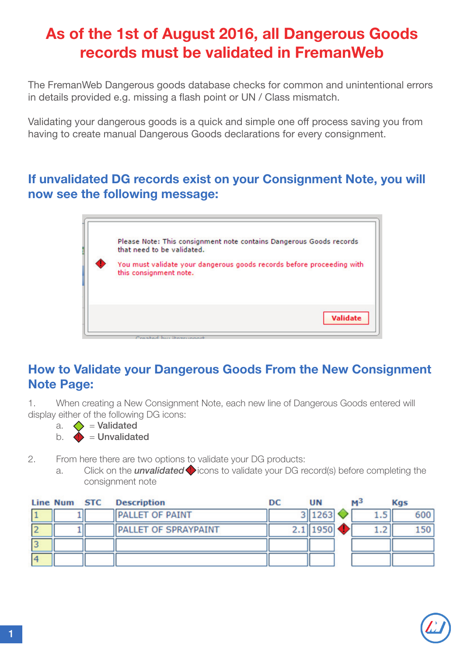# As of the 1st of August 2016, all Dangerous Goods records must be validated in FremanWeb

The FremanWeb Dangerous goods database checks for common and unintentional errors in details provided e.g. missing a flash point or UN / Class mismatch.

Validating your dangerous goods is a quick and simple one off process saving you from having to create manual Dangerous Goods declarations for every consignment.

#### If unvalidated DG records exist on your Consignment Note, you will now see the following message:

| Please Note: This consignment note contains Dangerous Goods records<br>that need to be validated. |
|---------------------------------------------------------------------------------------------------|
| You must validate your dangerous goods records before proceeding with<br>this consignment note.   |
| <b>Validate</b><br>Constant sure items uses the                                                   |

#### How to Validate your Dangerous Goods From the New Consignment Note Page:

1. When creating a New Consignment Note, each new line of Dangerous Goods entered will display either of the following DG icons:

- a.  $\diamondsuit$  = Validated
- $b.$   $\blacklozenge$  = Unvalidated
- 2. From here there are two options to validate your DG products:
	- a. Click on the *unvalidated*  $\bullet$  icons to validate your DG record(s) before completing the consignment note

| Line Num STC | <b>Description</b>          | DC | UN           | м÷ | <b>Kgs</b> |
|--------------|-----------------------------|----|--------------|----|------------|
|              | <b>PALLET OF PAINT</b>      |    | 3 1263       |    | 600        |
|              | <b>PALLET OF SPRAYPAINT</b> |    | $2.1$   1950 |    | 150        |
|              |                             |    |              |    |            |
|              |                             |    |              |    |            |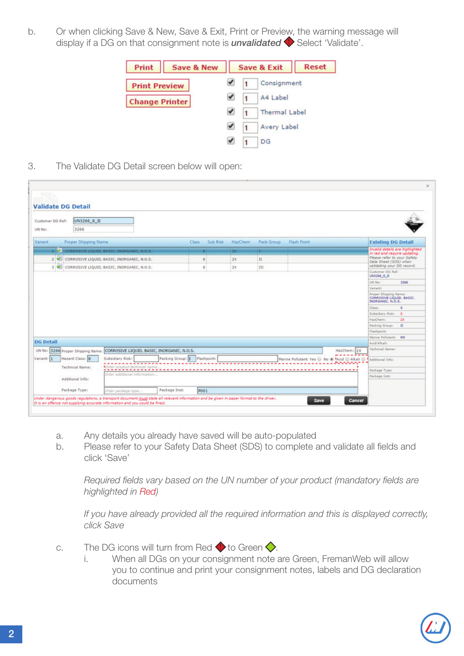b. Or when clicking Save & New, Save & Exit, Print or Preview, the warning message will display if a DG on that consignment note is **unvalidated**  $\blacklozenge$  Select 'Validate'.



3. The Validate DG Detail screen below will open:

| <b>Validate DG Detail</b>                                |                                                                              |                              |          |                |            |                                              |                                                                      |
|----------------------------------------------------------|------------------------------------------------------------------------------|------------------------------|----------|----------------|------------|----------------------------------------------|----------------------------------------------------------------------|
| UN3266_8_II<br>Customer DG Ref:<br>3266<br><b>UN No:</b> |                                                                              |                              |          |                |            |                                              |                                                                      |
| Proper Shipping Name<br>Variant                          |                                                                              | <b>Class</b>                 | Sub Risk | <b>HazChem</b> | Pack Group | <b>Flash Point</b>                           | <b>Existing DG Detail</b>                                            |
|                                                          | <b>1 CORROSIVE LIQUID, BASIC, INORGANIC, N.O.S.</b>                          |                              |          | $2X -$         | ٠          |                                              | Invalid details are highlighted<br>in red and require updating.      |
|                                                          | 2 CORROSIVE LIQUID, BASIC, INORGANIC, N.O.S.                                 |                              | a        | 200            | п          |                                              | Please refer to your Safety                                          |
|                                                          | 3 CORROSIVE LIQUID, BASIC, INORGANIC, N.O.S.                                 |                              | s.       | 2x             | 111        |                                              | Data Sheet (SDS) when<br>validating your DG record.                  |
|                                                          |                                                                              |                              |          |                |            |                                              | Customer DG Ref:                                                     |
|                                                          |                                                                              |                              |          |                |            |                                              | UN3266_8_II<br>3266<br><b>UN Not</b>                                 |
|                                                          |                                                                              |                              |          |                |            |                                              |                                                                      |
|                                                          |                                                                              |                              |          |                |            |                                              |                                                                      |
|                                                          |                                                                              |                              |          |                |            |                                              | <b>Variant:</b><br>Proper Shipping Name:<br>CORROSIVE LIQUID, BASIC, |
|                                                          |                                                                              |                              |          |                |            |                                              | INORGANIC, N.O.S.<br>Class:<br>a                                     |
|                                                          |                                                                              |                              |          |                |            |                                              | Subsidiary Risk: 0                                                   |
|                                                          |                                                                              |                              |          |                |            |                                              | 200<br>HazChem:                                                      |
|                                                          |                                                                              |                              |          |                |            |                                              | $\mathbf{H}$<br>Packing Group:                                       |
|                                                          |                                                                              |                              |          |                |            |                                              | Flashpoint:                                                          |
|                                                          |                                                                              |                              |          |                |            |                                              | Marine Pollutant: NO                                                 |
| <b>DG Detail</b>                                         |                                                                              |                              |          |                |            |                                              | Acid/Alkalis                                                         |
|                                                          | UN No: 3266 Proper Shipping Name: CORROSIVE LIQUID, BASIC, INORGANIC, N.O.S. |                              |          |                |            | HazChem: 2X                                  | Technical Name:                                                      |
| Hazard Class: 8                                          | Subsidiary Risk:                                                             | Packing Group:   Flashpoint: |          |                |            | Marine Pollutant: Yes @ No @ Mcid @ Alkali @ | Additional Infor-                                                    |
| <b>Technical Name:</b>                                   | Mater product bechained name                                                 |                              |          |                |            |                                              |                                                                      |
| Variant: 1                                               | Enter additional information                                                 |                              |          |                |            |                                              | Package Type:<br>Package Inst:                                       |
| Additional Info:                                         |                                                                              |                              |          |                |            |                                              |                                                                      |

- a. Any details you already have saved will be auto-populated
- b. Please refer to your Safety Data Sheet (SDS) to complete and validate all fields and click 'Save'

 *Required fields vary based on the UN number of your product (mandatory fields are highlighted in Red)*

 *If you have already provided all the required information and this is displayed correctly, click Save*

- c. The DG icons will turn from Red  $\bullet$  to Green  $\diamondsuit$ .
	- i. When all DGs on your consignment note are Green, FremanWeb will allow you to continue and print your consignment notes, labels and DG declaration documents

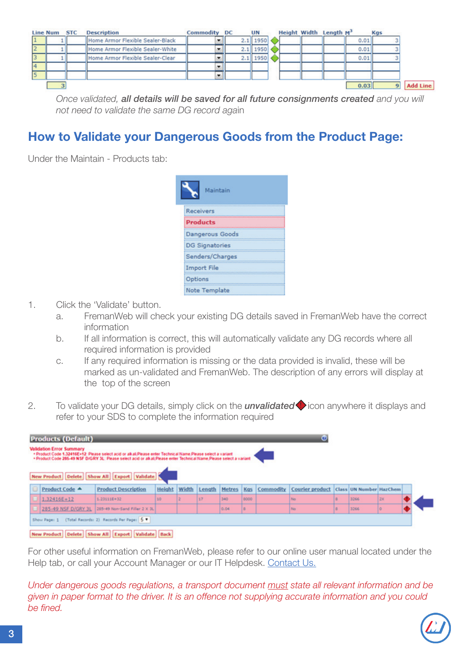|                 | Line Num STC | <b>Description</b>               | <b>Commodity DC</b> |  | <b>UN</b>    |  | Height Width Length M <sup>3</sup> |      | <b>Kgs</b> |          |
|-----------------|--------------|----------------------------------|---------------------|--|--------------|--|------------------------------------|------|------------|----------|
| $\vert$ 1       |              | Home Armor Flexible Sealer-Black |                     |  | $2.1$   1950 |  |                                    | 0.01 |            |          |
| 2               |              | Home Armor Flexible Sealer-White |                     |  | $2.1$ 1950   |  |                                    | 0.01 |            |          |
| 3               |              | Home Armor Flexible Sealer-Clear |                     |  | $2.1$ 1950   |  |                                    | 0.01 |            |          |
| $\vert 4 \vert$ |              |                                  |                     |  |              |  |                                    |      |            |          |
| 5               |              |                                  |                     |  |              |  |                                    |      |            |          |
|                 |              |                                  |                     |  |              |  |                                    | 0.03 |            | Add Line |

*Once validated, all details will be saved for all future consignments created and you will not need to validate the same DG record aga*in

### How to Validate your Dangerous Goods from the Product Page:

Under the Maintain - Products tab:



- 1. Click the 'Validate' button.
	- a. FremanWeb will check your existing DG details saved in FremanWeb have the correct information
	- b. If all information is correct, this will automatically validate any DG records where all required information is provided
	- c. If any required information is missing or the data provided is invalid, these will be marked as un-validated and FremanWeb. The description of any errors will display at the top of the screen
- 2. To validate your DG details, simply click on the *unvalidated* icon anywhere it displays and refer to your SDS to complete the information required

| <b>Products (Default)</b><br>Ø<br><b>Validation Error Summary</b><br>. Product Code 1.32416E+12: Please select acid or alkali Please enter Technical Name Please select a variant<br>. Product Code 285-49 NSF D/GRY 3L: Please select acid or alkali.Please enter Technical Name Please select a variant |                |                            |        |       |        |        |      |           |                        |   |                                |    |  |
|-----------------------------------------------------------------------------------------------------------------------------------------------------------------------------------------------------------------------------------------------------------------------------------------------------------|----------------|----------------------------|--------|-------|--------|--------|------|-----------|------------------------|---|--------------------------------|----|--|
| New Product Delete Show All Export Validate                                                                                                                                                                                                                                                               |                |                            |        |       |        |        |      |           |                        |   |                                |    |  |
| ΘΙ                                                                                                                                                                                                                                                                                                        | Product Code A | <b>Product Description</b> | Height | Width | Length | Metres | Kas  | Commodity | <b>Courier product</b> |   | <b>Class UN Number HazChem</b> |    |  |
|                                                                                                                                                                                                                                                                                                           | $1.32416E+12$  | $1.231118 + 32$            | 10     |       | 17     | 340    | 0000 |           | No                     |   | 3266                           | 2X |  |
|                                                                                                                                                                                                                                                                                                           |                |                            |        |       |        | 0.04   | l o  |           | No                     | в | 3266                           |    |  |
| 285-49 NSF D/GRY 3L 205-49 Non-Sand Filler 2 X 3L<br>(Total Records: 2) Records Per Page: 5 V<br>Show Page: 1                                                                                                                                                                                             |                |                            |        |       |        |        |      |           |                        |   |                                |    |  |

For other useful information on FremanWeb, please refer to our online user manual located under the Help tab, or call your Account Manager or our IT Helpdesk. [Contact Us.](http://www.mainfreight.com/global/en/global-home/contact-us.aspx?RegionID=2&CategoryID=3)

*Under dangerous goods regulations, a transport document must state all relevant information and be given in paper format to the driver. It is an offence not supplying accurate information and you could be fined.*



New Product Delete Show All Export Validate Back